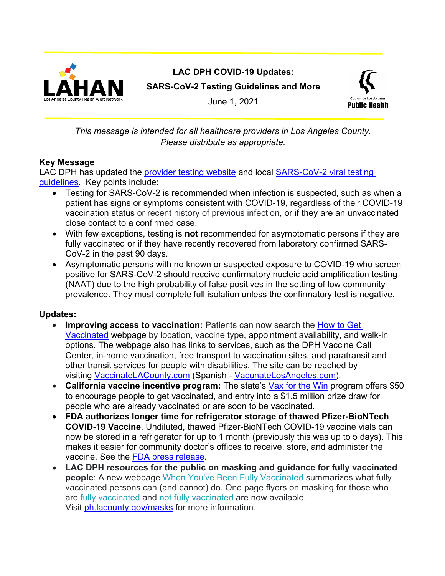

**LAC DPH COVID-19 Updates: SARS-CoV-2 Testing Guidelines and More**



June 1, 2021

## *This message is intended for all healthcare providers in Los Angeles County. Please distribute as appropriate.*

## **Key Message**

LAC DPH has updated the [provider testing website](http://publichealth.lacounty.gov/acd/ncorona2019/testing/) and local [SARS-CoV-2 viral testing](http://publichealth.lacounty.gov/acd/ncorona2019/testing/guidelines/#Situation)  [guidelines.](http://publichealth.lacounty.gov/acd/ncorona2019/testing/guidelines/#Situation) Key points include:

- Testing for SARS-CoV-2 is recommended when infection is suspected, such as when a patient has signs or symptoms consistent with COVID-19, regardless of their COVID-19 vaccination status or recent history of previous infection, or if they are an unvaccinated close contact to a confirmed case.
- With few exceptions, testing is **not** recommended for asymptomatic persons if they are fully vaccinated or if they have recently recovered from laboratory confirmed SARS-CoV-2 in the past 90 days.
- Asymptomatic persons with no known or suspected exposure to COVID-19 who screen positive for SARS-CoV-2 should receive confirmatory nucleic acid amplification testing (NAAT) due to the high probability of false positives in the setting of low community prevalence. They must complete full isolation unless the confirmatory test is negative.

# **Updates:**

- **Improving access to vaccination:** Patients can now search the [How](http://publichealth.lacounty.gov/acd/ncorona2019/vaccine/hcwsignup/) to Get [Vaccinated](http://publichealth.lacounty.gov/acd/ncorona2019/vaccine/hcwsignup/) webpage by location, vaccine type, appointment availability, and walk-in options. The webpage also has links to services, such as the DPH Vaccine Call Center, in-home vaccination, free transport to vaccination sites, and paratransit and other transit services for people with disabilities. The site can be reached by visiting [VaccinateLACounty.com](http://www.publichealth.lacounty.gov/media/Coronavirus/vaccine/index.htm) (Spanish - [VacunateLosAngeles.com\)](http://publichealth.lacounty.gov/media/Coronavirus/vaccine/index-es.htm).
- **California vaccine incentive program:** The state's Vax for the [Win](https://covid19.ca.gov/vax-for-the-win/) program offers \$50 to encourage people to get vaccinated, and entry into a \$1.5 million prize draw for people who are already vaccinated or are soon to be vaccinated.
- **FDA authorizes longer time for refrigerator storage of thawed Pfizer-BioNTech COVID-19 Vaccine**. Undiluted, thawed Pfizer-BioNTech COVID-19 vaccine vials can now be stored in a refrigerator for up to 1 month (previously this was up to 5 days). This makes it easier for community doctor's offices to receive, store, and administer the vaccine. See the [FDA press release.](https://www.fda.gov/news-events/press-announcements/fda-brief-fda-authorizes-longer-time-refrigerator-storage-thawed-pfizer-biontech-covid-19-vaccine)
- **LAC DPH resources for the public on masking and guidance for fully vaccinated people**: A new webpage [When You've Been Fully Vaccinated](http://publichealth.lacounty.gov/acd/ncorona2019/vaccine/fullyvaccinated/) summarizes what fully vaccinated persons can (and cannot) do. One page flyers on masking for those who are [fully vaccinated](http://publichealth.lacounty.gov/acd/docs/FullyVaccinatedMasks.pdf) and [not fully vaccinated](http://publichealth.lacounty.gov/acd/docs/NotFullyVaccinatedMasks.pdf) are now available. Visit [ph.lacounty.gov/masks](http://publichealth.lacounty.gov/acd/ncorona2019/masks/) for more information.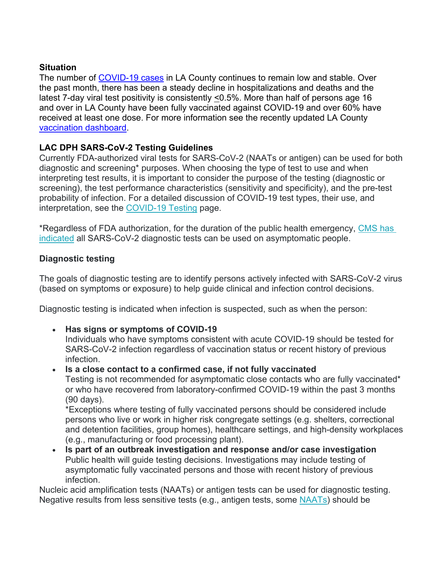## **Situation**

The number of [COVID-19 cases](http://publichealth.lacounty.gov/media/Coronavirus/data/index.htm) in LA County continues to remain low and stable. Over the past month, there has been a steady decline in hospitalizations and deaths and the latest 7-day viral test positivity is consistently <0.5%. More than half of persons age 16 and over in LA County have been fully vaccinated against COVID-19 and over 60% have received at least one dose. For more information see the recently updated LA County [vaccination dashboard.](http://www.publichealth.lacounty.gov/media/Coronavirus/vaccine/vaccine-dashboard.htm)

## **LAC DPH SARS-CoV-2 Testing Guidelines**

Currently FDA-authorized viral tests for SARS-CoV-2 (NAATs or antigen) can be used for both diagnostic and screening\* purposes. When choosing the type of test to use and when interpreting test results, it is important to consider the purpose of the testing (diagnostic or screening), the test performance characteristics (sensitivity and specificity), and the pre-test probability of infection. For a detailed discussion of COVID-19 test types, their use, and interpretation, see the [COVID-19 Testing](http://publichealth.lacounty.gov/acd/ncorona2019/testing/) page.

\*Regardless of FDA authorization, for the duration of the public health emergency, [CMS has](https://www.cms.gov/files/document/clia-poc-ag-test-enforcement-discretion.pdf)  [indicated](https://www.cms.gov/files/document/clia-poc-ag-test-enforcement-discretion.pdf) all SARS-CoV-2 diagnostic tests can be used on asymptomatic people.

#### **Diagnostic testing**

The goals of diagnostic testing are to identify persons actively infected with SARS-CoV-2 virus (based on symptoms or exposure) to help guide clinical and infection control decisions.

Diagnostic testing is indicated when infection is suspected, such as when the person:

• **Has signs or symptoms of COVID-19**

Individuals who have symptoms consistent with acute COVID-19 should be tested for SARS-CoV-2 infection regardless of vaccination status or recent history of previous infection.

• **Is a [close contact](http://publichealth.lacounty.gov/acd/ncorona2019/testing/guidelines/) to a confirmed case, if not fully vaccinated** Testing is not recommended for asymptomatic close contacts who are fully vaccinated\* or who have recovered from laboratory-confirmed COVID-19 within the past 3 months (90 days).

\*Exceptions where testing of fully vaccinated persons should be considered include persons who live or work in higher risk congregate settings (e.g. shelters, correctional and detention facilities, group homes), healthcare settings, and high-density workplaces (e.g., manufacturing or food processing plant).

• **Is part of an outbreak investigation and response and/or case investigation** Public health will guide testing decisions. Investigations may include testing of asymptomatic fully vaccinated persons and those with recent history of previous infection.

Nucleic acid amplification tests (NAATs) or antigen tests can be used for diagnostic testing. Negative results from less sensitive tests (e.g., antigen tests, some [NAATs\)](https://www.fda.gov/medical-devices/coronavirus-covid-19-and-medical-devices/sars-cov-2-reference-panel-comparative-data?utm_medium=email&utm_source=govdelivery) should be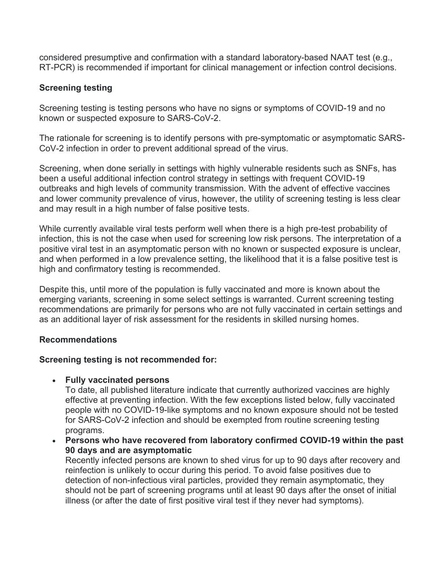considered presumptive and confirmation with a standard laboratory-based NAAT test (e.g., RT-PCR) is recommended if important for clinical management or infection control decisions.

### **Screening testing**

Screening testing is testing persons who have no signs or symptoms of COVID-19 and no known or suspected exposure to SARS-CoV-2.

The rationale for screening is to identify persons with pre-symptomatic or asymptomatic SARS-CoV-2 infection in order to prevent additional spread of the virus.

Screening, when done serially in settings with highly vulnerable residents such as SNFs, has been a useful additional infection control strategy in settings with frequent COVID-19 outbreaks and high levels of community transmission. With the advent of effective vaccines and lower community prevalence of virus, however, the utility of screening testing is less clear and may result in a high number of false positive tests.

While currently available viral tests perform well when there is a high pre-test probability of infection, this is not the case when used for screening low risk persons. The interpretation of a positive viral test in an asymptomatic person with no known or suspected exposure is unclear, and when performed in a low prevalence setting, the likelihood that it is a false positive test is high and confirmatory testing is recommended.

Despite this, until more of the population is fully vaccinated and more is known about the emerging variants, screening in some select settings is warranted. Current screening testing recommendations are primarily for persons who are not fully vaccinated in certain settings and as an additional layer of risk assessment for the residents in skilled nursing homes.

#### **Recommendations**

#### **Screening testing is not recommended for:**

• **Fully vaccinated persons**

To date, all published literature indicate that currently authorized vaccines are highly effective at preventing infection. With the few exceptions listed below, fully vaccinated people with no COVID-19-like symptoms and no known exposure should not be tested for SARS-CoV-2 infection and should be exempted from routine screening testing programs.

• **Persons who have recovered from laboratory confirmed COVID-19 within the past 90 days and are asymptomatic**

Recently infected persons are known to shed virus for up to 90 days after recovery and reinfection is unlikely to occur during this period. To avoid false positives due to detection of non-infectious viral particles, provided they remain asymptomatic, they should not be part of screening programs until at least 90 days after the onset of initial illness (or after the date of first positive viral test if they never had symptoms).